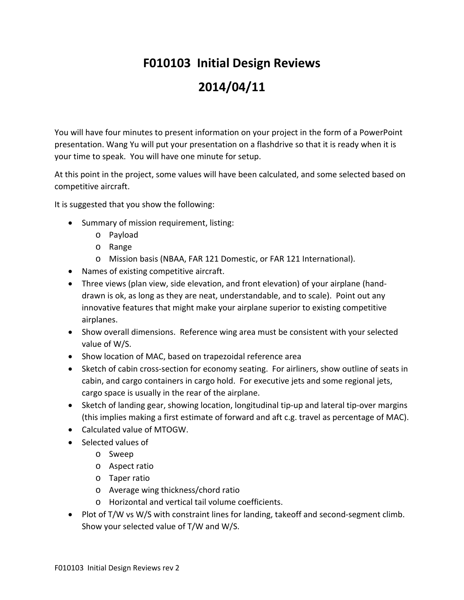## **F010103 Initial Design Reviews 2014/04/11**

You will have four minutes to present information on your project in the form of a PowerPoint presentation. Wang Yu will put your presentation on a flashdrive so that it is ready when it is your time to speak. You will have one minute for setup.

At this point in the project, some values will have been calculated, and some selected based on competitive aircraft.

It is suggested that you show the following:

- Summary of mission requirement, listing:
	- o Payload
	- o Range
	- o Mission basis (NBAA, FAR 121 Domestic, or FAR 121 International).
- Names of existing competitive aircraft.
- Three views (plan view, side elevation, and front elevation) of your airplane (handdrawn is ok, as long as they are neat, understandable, and to scale). Point out any innovative features that might make your airplane superior to existing competitive airplanes.
- Show overall dimensions. Reference wing area must be consistent with your selected value of W/S.
- Show location of MAC, based on trapezoidal reference area
- Sketch of cabin cross-section for economy seating. For airliners, show outline of seats in cabin, and cargo containers in cargo hold. For executive jets and some regional jets, cargo space is usually in the rear of the airplane.
- Sketch of landing gear, showing location, longitudinal tip-up and lateral tip-over margins (this implies making a first estimate of forward and aft c.g. travel as percentage of MAC).
- Calculated value of MTOGW.
- Selected values of
	- o Sweep
	- o Aspect ratio
	- o Taper ratio
	- o Average wing thickness/chord ratio
	- o Horizontal and vertical tail volume coefficients.
- Plot of T/W vs W/S with constraint lines for landing, takeoff and second-segment climb. Show your selected value of T/W and W/S.